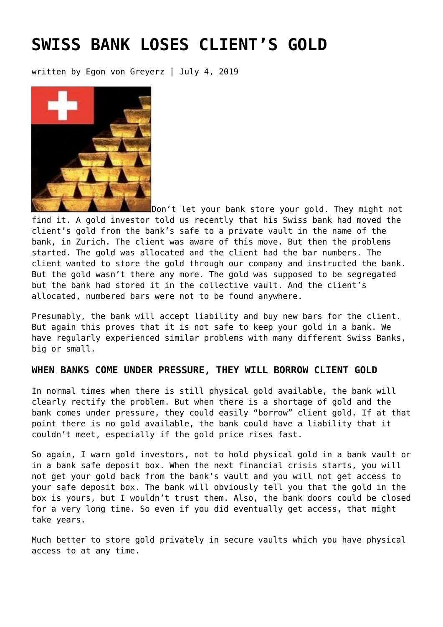# **[SWISS BANK LOSES CLIENT'S GOLD](https://goldswitzerland.com/swiss-bank-loses-clients-gold/)**

written by Egon von Greyerz | July 4, 2019



[Don't let your bank store your gold.](https://goldswitzerland.com/dont-hold-your-gold-in-a-swiss-bank/) They might not find it. A gold investor told us recently that his Swiss bank had moved the client's gold from the bank's safe to a private vault in the name of the bank, in Zurich. The client was aware of this move. But then the problems started. The gold was allocated and the client had the bar numbers. The client wanted to store the gold through our company and instructed the bank. But the gold wasn't there any more. The gold was supposed to be segregated but the bank had stored it in the collective vault. And the client's allocated, numbered bars were not to be found anywhere.

Presumably, the bank will accept liability and buy new bars for the client. But again this proves that it is not safe to keep your gold in a bank. We have regularly experienced similar problems with many different Swiss Banks, big or small.

### **WHEN BANKS COME UNDER PRESSURE, THEY WILL BORROW CLIENT GOLD**

In normal times when there is still physical gold available, the bank will clearly rectify the problem. But when there is a shortage of gold and the bank comes under pressure, they could easily "borrow" client gold. If at that point there is no gold available, the bank could have a liability that it couldn't meet, especially if the gold price rises fast.

So again, I warn gold investors, not to hold physical gold in a bank vault or in a bank safe deposit box. When the next financial crisis starts, you will not get your gold back from the bank's vault and you will not get access to your safe deposit box. The bank will obviously tell you that the gold in the box is yours, but I wouldn't trust them. Also, the bank doors could be closed for a very long time. So even if you did eventually get access, that might take years.

Much better to store gold privately in secure vaults which you have physical access to at any time.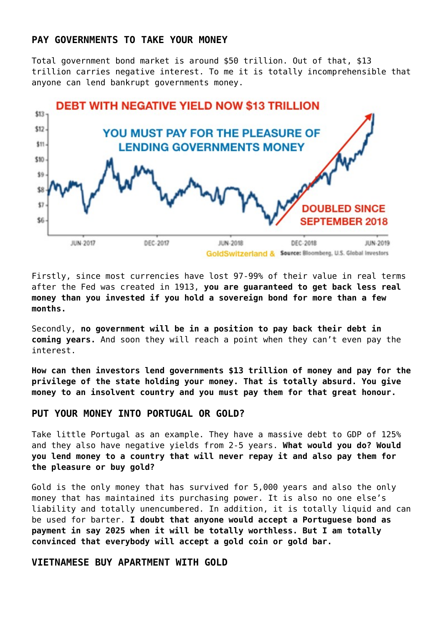### **PAY GOVERNMENTS TO TAKE YOUR MONEY**

Total government bond market is around \$50 trillion. Out of that, \$13 trillion carries negative interest. To me it is totally incomprehensible that anyone can lend bankrupt governments money.



Firstly, since most currencies have lost 97-99% of their value in real terms after the Fed was created in 1913, **you are guaranteed to get back less real money than you invested if you hold a sovereign bond for more than a few months.**

Secondly, **no government will be in a position to pay back their debt in coming years.** And soon they will reach a point when they can't even pay the interest.

**How can then investors lend governments \$13 trillion of money and pay for the privilege of the state holding your money. That is totally absurd. You give money to an insolvent country and you must pay them for that great honour.**

### **PUT YOUR MONEY INTO PORTUGAL OR GOLD?**

Take little Portugal as an example. They have a massive debt to GDP of 125% and they also have negative yields from 2-5 years. **What would you do? Would you lend money to a country that will never repay it and also pay them for the pleasure or buy gold?**

Gold is the only money that has survived for 5,000 years and also the only money that has maintained its purchasing power. It is also no one else's liability and totally unencumbered. In addition, it is totally liquid and can be used for barter. **I doubt that anyone would accept a Portuguese bond as payment in say 2025 when it will be totally worthless. But I am totally convinced that everybody will accept a gold coin or gold bar.**

### **VIETNAMESE BUY APARTMENT WITH GOLD**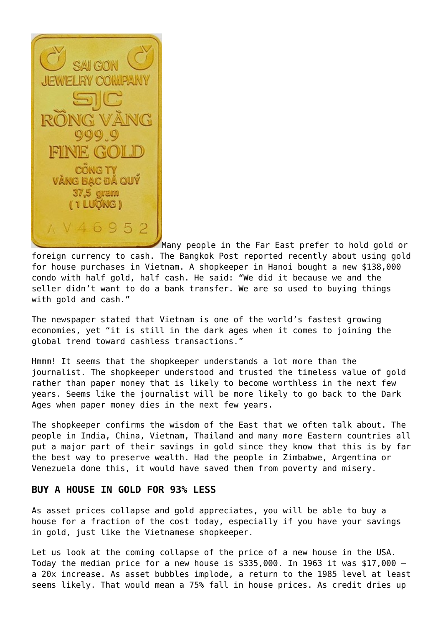WEI RY CO **CONG TY** VĂNG BẠC ĐÃ QU 37.5 gram (1 LUQNG)  $1 V 46952$ 

Many people in the Far East prefer to hold gold or foreign currency to cash. The Bangkok Post reported recently about using gold for house purchases in Vietnam. A shopkeeper in Hanoi bought a new \$138,000 condo with half gold, half cash. He said: "We did it because we and the seller didn't want to do a bank transfer. We are so used to buying things with gold and cash."

The newspaper stated that Vietnam is one of the world's fastest growing economies, yet "it is still in the dark ages when it comes to joining the global trend toward cashless transactions."

Hmmm! It seems that the shopkeeper understands a lot more than the journalist. The shopkeeper understood and trusted the timeless value of gold rather than paper money that is likely to become worthless in the next few years. Seems like the journalist will be more likely to go back to the Dark Ages when paper money dies in the next few years.

The shopkeeper confirms the wisdom of the East that we often talk about. The people in India, China, Vietnam, Thailand and many more Eastern countries all put a major part of their savings in gold since they know that this is by far the best way to preserve wealth. Had the people in Zimbabwe, Argentina or Venezuela done this, it would have saved them from poverty and misery.

### **BUY A HOUSE IN GOLD FOR 93% LESS**

As asset prices collapse and gold appreciates, you will be able to buy a house for a fraction of the cost today, especially if you have your savings in gold, just like the Vietnamese shopkeeper.

Let us look at the coming collapse of the price of a new house in the USA. Today the median price for a new house is  $$335,000$ . In 1963 it was  $$17,000$  a 20x increase. As asset bubbles implode, a return to the 1985 level at least seems likely. That would mean a 75% fall in house prices. As credit dries up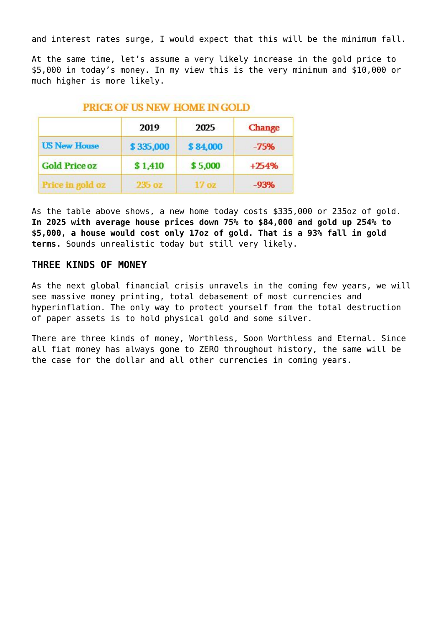and interest rates surge, I would expect that this will be the minimum fall.

At the same time, let's assume a very likely increase in the gold price to \$5,000 in today's money. In my view this is the very minimum and \$10,000 or much higher is more likely.

### **PRICE OF US NEW HOME IN GOLD**

|                      | 2019      | 2025     | <b>Change</b> |
|----------------------|-----------|----------|---------------|
| <b>US New House</b>  | \$335,000 | \$84,000 | $-75%$        |
| <b>Gold Price oz</b> | \$1,410   | \$5,000  | $+254%$       |
|                      | 235 oz    | 17 oz    | $-93%$        |

As the table above shows, a new home today costs \$335,000 or 235oz of gold. **In 2025 with average house prices down 75% to \$84,000 and gold up 254% to \$5,000, a house would cost only 17oz of gold. That is a 93% fall in gold terms.** Sounds unrealistic today but still very likely.

### **THREE KINDS OF MONEY**

As the next global financial crisis unravels in the coming few years, we will see massive money printing, total debasement of most currencies and hyperinflation. The only way to protect yourself from the total destruction of paper assets is to hold physical gold and some silver.

There are three kinds of money, Worthless, Soon Worthless and Eternal. Since all fiat money has always gone to ZERO throughout history, the same will be the case for the dollar and all other currencies in coming years.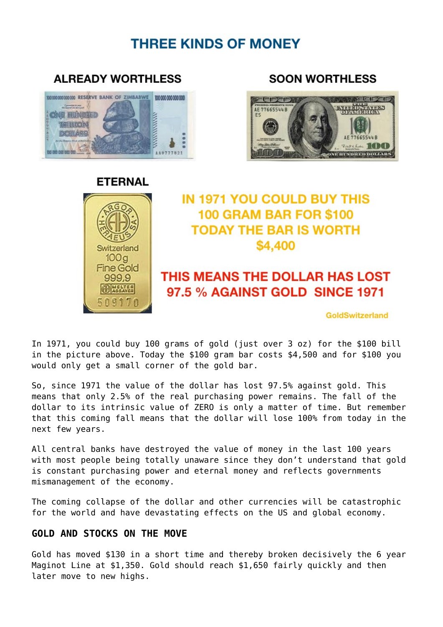### **THREE KINDS OF MONEY**

### **Imministra ONE HUNDRED REGIONAL CONTROL** TRILLION **DESILARS M. DOG DOG DOG DOG**

**ALREADY WORTHLESS** 

### **SOON WORTHLESS**



## Switzerland  $100<sub>g</sub>$ **Fine Gold** 999,9 **ASSAYER** 509170

# **ETERNAL**

**IN 1971 YOU COULD BUY THIS 100 GRAM BAR FOR \$100 TODAY THE BAR IS WORTH** \$4,400

### THIS MEANS THE DOLLAR HAS LOST 97.5 % AGAINST GOLD SINCE 1971

GoldSwitzerland

In 1971, you could buy 100 grams of gold (just over 3 oz) for the \$100 bill in the picture above. Today the \$100 gram bar costs \$4,500 and for \$100 you would only get a small corner of the gold bar.

So, since 1971 the value of the dollar has lost 97.5% against gold. This means that only 2.5% of the real purchasing power remains. The fall of the dollar to its intrinsic value of ZERO is only a matter of time. But remember that this coming fall means that the dollar will lose 100% from today in the next few years.

All central banks have destroyed the value of money in the last 100 years with most people being totally unaware since they don't understand that gold is constant purchasing power and eternal money and reflects governments mismanagement of the economy.

The coming collapse of the dollar and other currencies will be catastrophic for the world and have devastating effects on the US and global economy.

### **GOLD AND STOCKS ON THE MOVE**

Gold has moved \$130 in a short time and thereby broken decisively the 6 year Maginot Line at \$1,350. Gold should reach \$1,650 fairly quickly and then later move to new highs.